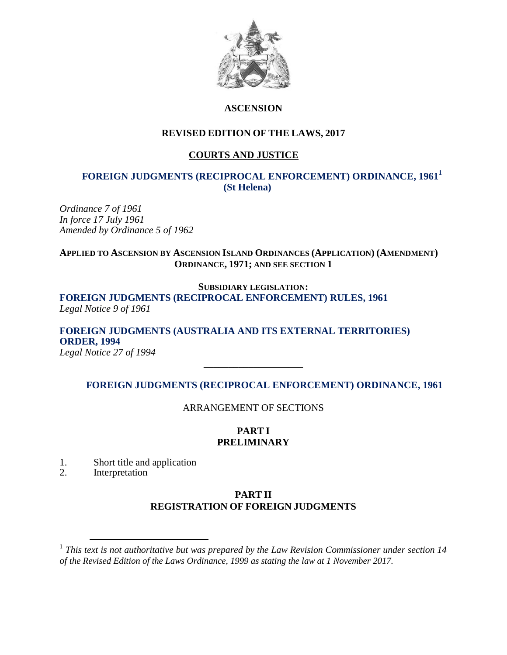

### **ASCENSION**

### **REVISED EDITION OF THE LAWS, 2017**

## **COURTS AND JUSTICE**

### **FOREIGN JUDGMENTS (RECIPROCAL ENFORCEMENT) ORDINANCE, 1961<sup>1</sup> (St Helena)**

*Ordinance 7 of 1961 In force 17 July 1961 Amended by Ordinance 5 of 1962* 

### **APPLIED TO ASCENSION BY ASCENSION ISLAND ORDINANCES (APPLICATION) (AMENDMENT) ORDINANCE, 1971; AND SEE SECTION 1**

#### **SUBSIDIARY LEGISLATION:**

### **FOREIGN JUDGMENTS (RECIPROCAL ENFORCEMENT) RULES, 1961** *Legal Notice 9 of 1961*

# **FOREIGN JUDGMENTS (AUSTRALIA AND ITS EXTERNAL TERRITORIES) ORDER, 1994**

*Legal Notice 27 of 1994 \_\_\_\_\_\_\_\_\_\_\_\_\_\_\_\_\_\_\_\_*

### **FOREIGN JUDGMENTS (RECIPROCAL ENFORCEMENT) ORDINANCE, 1961**

ARRANGEMENT OF SECTIONS

### **PART I PRELIMINARY**

- 1. Short title and application
- 2. Interpretation

 $\overline{a}$ 

### **PART II REGISTRATION OF FOREIGN JUDGMENTS**

<sup>&</sup>lt;sup>1</sup> This text is not authoritative but was prepared by the Law Revision Commissioner under section 14 *of the Revised Edition of the Laws Ordinance, 1999 as stating the law at 1 November 2017.*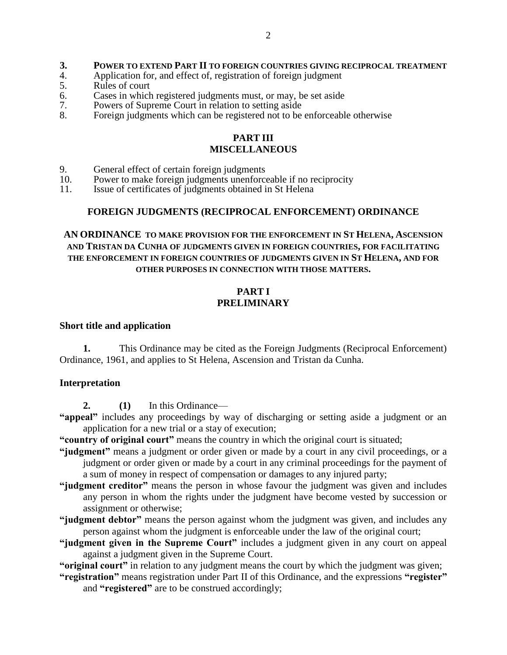#### **3. POWER TO EXTEND PART II TO FOREIGN COUNTRIES GIVING RECIPROCAL TREATMENT**

- 4. Application for, and effect of, registration of foreign judgment 5.
- 5. Rules of court<br>6. Cases in which
- 6. Cases in which registered judgments must, or may, be set aside<br>7. Powers of Supreme Court in relation to setting aside
- 7. Powers of Supreme Court in relation to setting aside<br>8. Foreign judgments which can be registered not to be
- Foreign judgments which can be registered not to be enforceable otherwise

#### **PART III MISCELLANEOUS**

- 9. General effect of certain foreign judgments<br>10 Power to make foreign judgments unenforce
- 10. Power to make foreign judgments unenforceable if no reciprocity<br>11. Issue of certificates of judgments obtained in St Helena
- Issue of certificates of judgments obtained in St Helena

#### **FOREIGN JUDGMENTS (RECIPROCAL ENFORCEMENT) ORDINANCE**

#### **AN ORDINANCE TO MAKE PROVISION FOR THE ENFORCEMENT IN ST HELENA, ASCENSION AND TRISTAN DA CUNHA OF JUDGMENTS GIVEN IN FOREIGN COUNTRIES, FOR FACILITATING THE ENFORCEMENT IN FOREIGN COUNTRIES OF JUDGMENTS GIVEN IN ST HELENA, AND FOR OTHER PURPOSES IN CONNECTION WITH THOSE MATTERS.**

#### **PART I PRELIMINARY**

#### **Short title and application**

**1.** This Ordinance may be cited as the Foreign Judgments (Reciprocal Enforcement) Ordinance, 1961, and applies to St Helena, Ascension and Tristan da Cunha.

#### **Interpretation**

**2. (1)** In this Ordinance—

**"appeal"** includes any proceedings by way of discharging or setting aside a judgment or an application for a new trial or a stay of execution;

**"country of original court"** means the country in which the original court is situated;

- **"judgment"** means a judgment or order given or made by a court in any civil proceedings, or a judgment or order given or made by a court in any criminal proceedings for the payment of a sum of money in respect of compensation or damages to any injured party;
- **"judgment creditor"** means the person in whose favour the judgment was given and includes any person in whom the rights under the judgment have become vested by succession or assignment or otherwise;
- **"judgment debtor"** means the person against whom the judgment was given, and includes any person against whom the judgment is enforceable under the law of the original court;
- **"judgment given in the Supreme Court"** includes a judgment given in any court on appeal against a judgment given in the Supreme Court.

**"original court"** in relation to any judgment means the court by which the judgment was given;

**"registration"** means registration under Part II of this Ordinance, and the expressions **"register"** and **"registered"** are to be construed accordingly;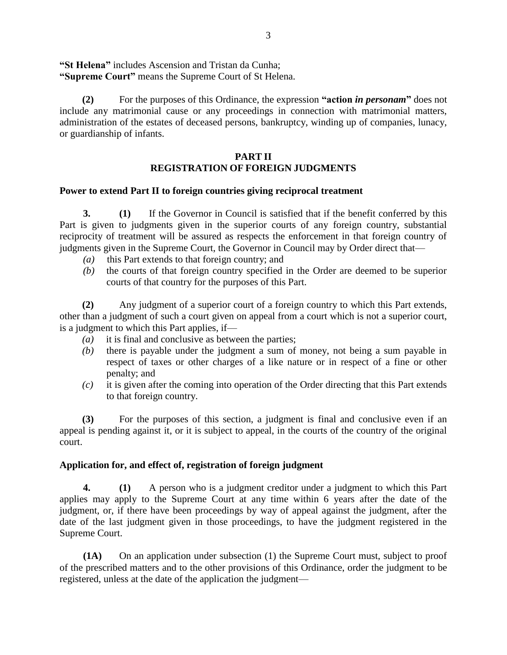**"St Helena"** includes Ascension and Tristan da Cunha; **"Supreme Court"** means the Supreme Court of St Helena.

**(2)** For the purposes of this Ordinance, the expression **"action** *in personam***"** does not include any matrimonial cause or any proceedings in connection with matrimonial matters, administration of the estates of deceased persons, bankruptcy, winding up of companies, lunacy, or guardianship of infants.

### **PART II REGISTRATION OF FOREIGN JUDGMENTS**

#### **Power to extend Part II to foreign countries giving reciprocal treatment**

**3. (1)** If the Governor in Council is satisfied that if the benefit conferred by this Part is given to judgments given in the superior courts of any foreign country, substantial reciprocity of treatment will be assured as respects the enforcement in that foreign country of judgments given in the Supreme Court, the Governor in Council may by Order direct that—

- *(a)* this Part extends to that foreign country; and
- *(b)* the courts of that foreign country specified in the Order are deemed to be superior courts of that country for the purposes of this Part.

**(2)** Any judgment of a superior court of a foreign country to which this Part extends, other than a judgment of such a court given on appeal from a court which is not a superior court, is a judgment to which this Part applies, if—

- *(a)* it is final and conclusive as between the parties;
- *(b)* there is payable under the judgment a sum of money, not being a sum payable in respect of taxes or other charges of a like nature or in respect of a fine or other penalty; and
- *(c)* it is given after the coming into operation of the Order directing that this Part extends to that foreign country.

**(3)** For the purposes of this section, a judgment is final and conclusive even if an appeal is pending against it, or it is subject to appeal, in the courts of the country of the original court.

#### **Application for, and effect of, registration of foreign judgment**

**4. (1)** A person who is a judgment creditor under a judgment to which this Part applies may apply to the Supreme Court at any time within 6 years after the date of the judgment, or, if there have been proceedings by way of appeal against the judgment, after the date of the last judgment given in those proceedings, to have the judgment registered in the Supreme Court.

**(1A)** On an application under subsection (1) the Supreme Court must, subject to proof of the prescribed matters and to the other provisions of this Ordinance, order the judgment to be registered, unless at the date of the application the judgment—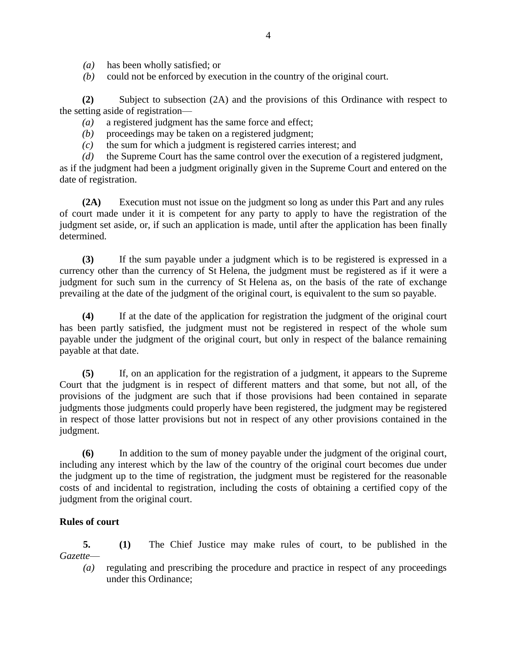- *(a)* has been wholly satisfied; or
- *(b)* could not be enforced by execution in the country of the original court.

**(2)** Subject to subsection (2A) and the provisions of this Ordinance with respect to the setting aside of registration—

*(a)* a registered judgment has the same force and effect;

- *(b)* proceedings may be taken on a registered judgment;
- *(c)* the sum for which a judgment is registered carries interest; and

*(d)* the Supreme Court has the same control over the execution of a registered judgment, as if the judgment had been a judgment originally given in the Supreme Court and entered on the date of registration.

**(2A)** Execution must not issue on the judgment so long as under this Part and any rules of court made under it it is competent for any party to apply to have the registration of the judgment set aside, or, if such an application is made, until after the application has been finally determined.

**(3)** If the sum payable under a judgment which is to be registered is expressed in a currency other than the currency of St Helena, the judgment must be registered as if it were a judgment for such sum in the currency of St Helena as, on the basis of the rate of exchange prevailing at the date of the judgment of the original court, is equivalent to the sum so payable.

**(4)** If at the date of the application for registration the judgment of the original court has been partly satisfied, the judgment must not be registered in respect of the whole sum payable under the judgment of the original court, but only in respect of the balance remaining payable at that date.

**(5)** If, on an application for the registration of a judgment, it appears to the Supreme Court that the judgment is in respect of different matters and that some, but not all, of the provisions of the judgment are such that if those provisions had been contained in separate judgments those judgments could properly have been registered, the judgment may be registered in respect of those latter provisions but not in respect of any other provisions contained in the judgment.

**(6)** In addition to the sum of money payable under the judgment of the original court, including any interest which by the law of the country of the original court becomes due under the judgment up to the time of registration, the judgment must be registered for the reasonable costs of and incidental to registration, including the costs of obtaining a certified copy of the judgment from the original court.

#### **Rules of court**

**5. (1)** The Chief Justice may make rules of court, to be published in the *Gazette*—

*(a)* regulating and prescribing the procedure and practice in respect of any proceedings under this Ordinance;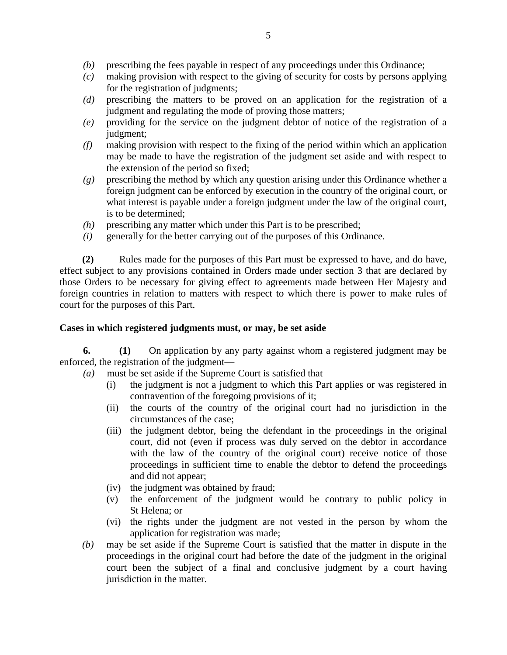- *(b)* prescribing the fees payable in respect of any proceedings under this Ordinance;
- *(c)* making provision with respect to the giving of security for costs by persons applying for the registration of judgments;
- *(d)* prescribing the matters to be proved on an application for the registration of a judgment and regulating the mode of proving those matters;
- *(e)* providing for the service on the judgment debtor of notice of the registration of a judgment:
- *(f)* making provision with respect to the fixing of the period within which an application may be made to have the registration of the judgment set aside and with respect to the extension of the period so fixed;
- *(g)* prescribing the method by which any question arising under this Ordinance whether a foreign judgment can be enforced by execution in the country of the original court, or what interest is payable under a foreign judgment under the law of the original court, is to be determined;
- *(h)* prescribing any matter which under this Part is to be prescribed;
- *(i)* generally for the better carrying out of the purposes of this Ordinance.

**(2)** Rules made for the purposes of this Part must be expressed to have, and do have, effect subject to any provisions contained in Orders made under section 3 that are declared by those Orders to be necessary for giving effect to agreements made between Her Majesty and foreign countries in relation to matters with respect to which there is power to make rules of court for the purposes of this Part.

#### **Cases in which registered judgments must, or may, be set aside**

**6. (1)** On application by any party against whom a registered judgment may be enforced, the registration of the judgment—

- *(a)* must be set aside if the Supreme Court is satisfied that—
	- (i) the judgment is not a judgment to which this Part applies or was registered in contravention of the foregoing provisions of it;
	- (ii) the courts of the country of the original court had no jurisdiction in the circumstances of the case;
	- (iii) the judgment debtor, being the defendant in the proceedings in the original court, did not (even if process was duly served on the debtor in accordance with the law of the country of the original court) receive notice of those proceedings in sufficient time to enable the debtor to defend the proceedings and did not appear;
	- (iv) the judgment was obtained by fraud;
	- (v) the enforcement of the judgment would be contrary to public policy in St Helena; or
	- (vi) the rights under the judgment are not vested in the person by whom the application for registration was made;
- *(b)* may be set aside if the Supreme Court is satisfied that the matter in dispute in the proceedings in the original court had before the date of the judgment in the original court been the subject of a final and conclusive judgment by a court having jurisdiction in the matter.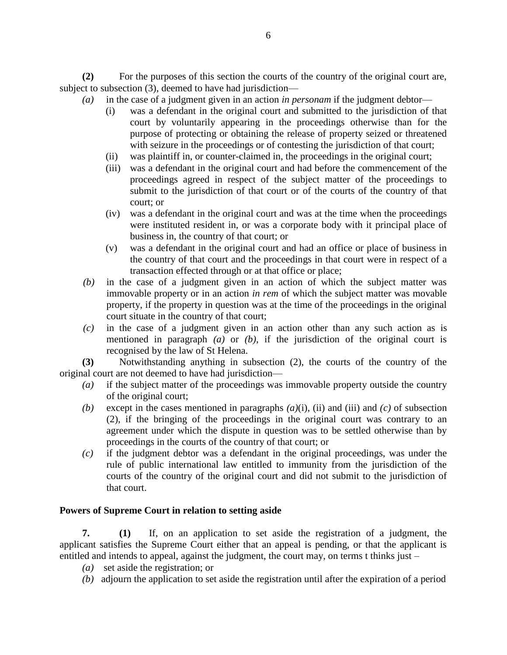**(2)** For the purposes of this section the courts of the country of the original court are, subject to subsection (3), deemed to have had jurisdiction—

- *(a)* in the case of a judgment given in an action *in personam* if the judgment debtor—
	- (i) was a defendant in the original court and submitted to the jurisdiction of that court by voluntarily appearing in the proceedings otherwise than for the purpose of protecting or obtaining the release of property seized or threatened with seizure in the proceedings or of contesting the jurisdiction of that court;
	- (ii) was plaintiff in, or counter-claimed in, the proceedings in the original court;
	- (iii) was a defendant in the original court and had before the commencement of the proceedings agreed in respect of the subject matter of the proceedings to submit to the jurisdiction of that court or of the courts of the country of that court; or
	- (iv) was a defendant in the original court and was at the time when the proceedings were instituted resident in, or was a corporate body with it principal place of business in, the country of that court; or
	- (v) was a defendant in the original court and had an office or place of business in the country of that court and the proceedings in that court were in respect of a transaction effected through or at that office or place;
- *(b)* in the case of a judgment given in an action of which the subject matter was immovable property or in an action *in rem* of which the subject matter was movable property, if the property in question was at the time of the proceedings in the original court situate in the country of that court;
- *(c)* in the case of a judgment given in an action other than any such action as is mentioned in paragraph *(a)* or *(b)*, if the jurisdiction of the original court is recognised by the law of St Helena.

**(3)** Notwithstanding anything in subsection (2), the courts of the country of the original court are not deemed to have had jurisdiction—

- *(a)* if the subject matter of the proceedings was immovable property outside the country of the original court;
- *(b)* except in the cases mentioned in paragraphs *(a)*(i), (ii) and (iii) and *(c)* of subsection (2), if the bringing of the proceedings in the original court was contrary to an agreement under which the dispute in question was to be settled otherwise than by proceedings in the courts of the country of that court; or
- *(c)* if the judgment debtor was a defendant in the original proceedings, was under the rule of public international law entitled to immunity from the jurisdiction of the courts of the country of the original court and did not submit to the jurisdiction of that court.

### **Powers of Supreme Court in relation to setting aside**

**7. (1)** If, on an application to set aside the registration of a judgment, the applicant satisfies the Supreme Court either that an appeal is pending, or that the applicant is entitled and intends to appeal, against the judgment, the court may, on terms t thinks just –

- *(a)* set aside the registration; or
- *(b)* adjourn the application to set aside the registration until after the expiration of a period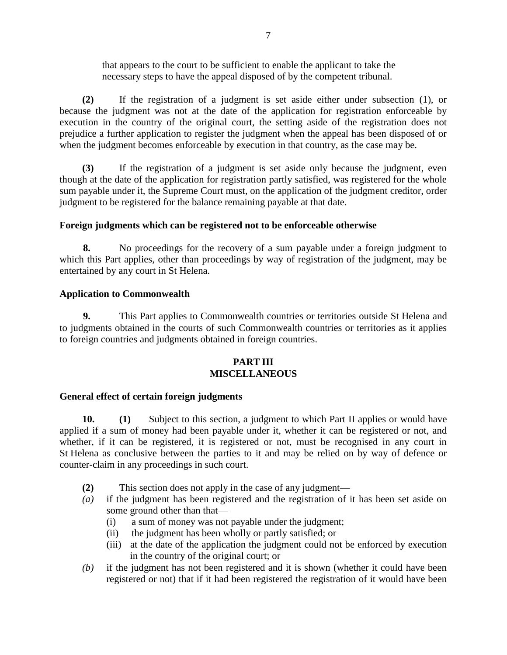that appears to the court to be sufficient to enable the applicant to take the necessary steps to have the appeal disposed of by the competent tribunal.

**(2)** If the registration of a judgment is set aside either under subsection (1), or because the judgment was not at the date of the application for registration enforceable by execution in the country of the original court, the setting aside of the registration does not prejudice a further application to register the judgment when the appeal has been disposed of or when the judgment becomes enforceable by execution in that country, as the case may be.

**(3)** If the registration of a judgment is set aside only because the judgment, even though at the date of the application for registration partly satisfied, was registered for the whole sum payable under it, the Supreme Court must, on the application of the judgment creditor, order judgment to be registered for the balance remaining payable at that date.

### **Foreign judgments which can be registered not to be enforceable otherwise**

**8.** No proceedings for the recovery of a sum payable under a foreign judgment to which this Part applies, other than proceedings by way of registration of the judgment, may be entertained by any court in St Helena.

### **Application to Commonwealth**

**9.** This Part applies to Commonwealth countries or territories outside St Helena and to judgments obtained in the courts of such Commonwealth countries or territories as it applies to foreign countries and judgments obtained in foreign countries.

### **PART III MISCELLANEOUS**

### **General effect of certain foreign judgments**

**10. (1)** Subject to this section, a judgment to which Part II applies or would have applied if a sum of money had been payable under it, whether it can be registered or not, and whether, if it can be registered, it is registered or not, must be recognised in any court in St Helena as conclusive between the parties to it and may be relied on by way of defence or counter-claim in any proceedings in such court.

- **(2)** This section does not apply in the case of any judgment—
- *(a)* if the judgment has been registered and the registration of it has been set aside on some ground other than that—
	- (i) a sum of money was not payable under the judgment;
	- (ii) the judgment has been wholly or partly satisfied; or
	- (iii) at the date of the application the judgment could not be enforced by execution in the country of the original court; or
- *(b)* if the judgment has not been registered and it is shown (whether it could have been registered or not) that if it had been registered the registration of it would have been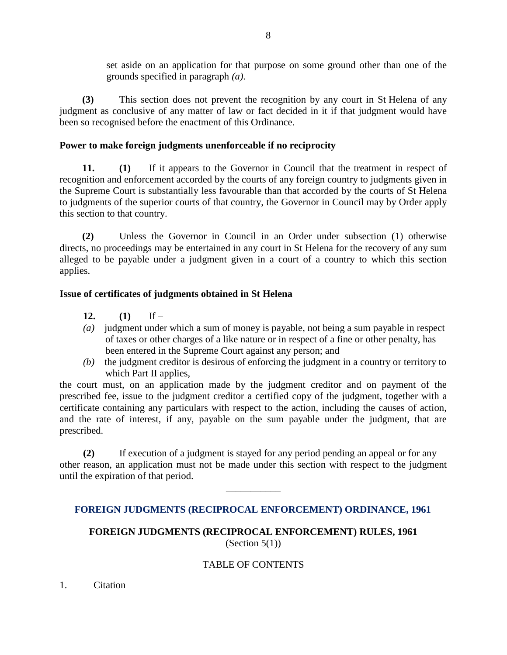set aside on an application for that purpose on some ground other than one of the grounds specified in paragraph *(a)*.

**(3)** This section does not prevent the recognition by any court in St Helena of any judgment as conclusive of any matter of law or fact decided in it if that judgment would have been so recognised before the enactment of this Ordinance.

### **Power to make foreign judgments unenforceable if no reciprocity**

**11. (1)** If it appears to the Governor in Council that the treatment in respect of recognition and enforcement accorded by the courts of any foreign country to judgments given in the Supreme Court is substantially less favourable than that accorded by the courts of St Helena to judgments of the superior courts of that country, the Governor in Council may by Order apply this section to that country.

**(2)** Unless the Governor in Council in an Order under subsection (1) otherwise directs, no proceedings may be entertained in any court in St Helena for the recovery of any sum alleged to be payable under a judgment given in a court of a country to which this section applies.

### **Issue of certificates of judgments obtained in St Helena**

- 12.  $(1)$  If –
- *(a)* judgment under which a sum of money is payable, not being a sum payable in respect of taxes or other charges of a like nature or in respect of a fine or other penalty, has been entered in the Supreme Court against any person; and
- *(b)* the judgment creditor is desirous of enforcing the judgment in a country or territory to which Part II applies,

the court must, on an application made by the judgment creditor and on payment of the prescribed fee, issue to the judgment creditor a certified copy of the judgment, together with a certificate containing any particulars with respect to the action, including the causes of action, and the rate of interest, if any, payable on the sum payable under the judgment, that are prescribed.

**(2)** If execution of a judgment is stayed for any period pending an appeal or for any other reason, an application must not be made under this section with respect to the judgment until the expiration of that period.

## **FOREIGN JUDGMENTS (RECIPROCAL ENFORCEMENT) ORDINANCE, 1961**

 $\overline{\phantom{a}}$ 

**FOREIGN JUDGMENTS (RECIPROCAL ENFORCEMENT) RULES, 1961** (Section  $5(1)$ )

## TABLE OF CONTENTS

1. Citation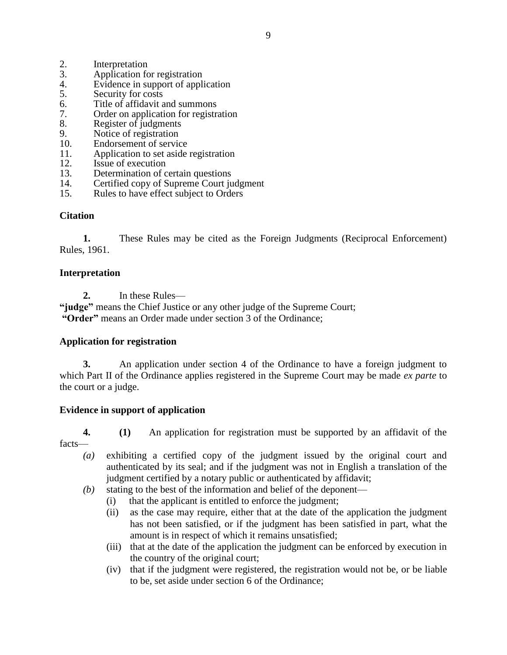- 2. Interpretation<br>3. Application for
- Application for registration
- 4. Evidence in support of application
- 5. Security for costs
- 6. Title of affidavit and summons
- 7. Order on application for registration
- 8. Register of judgments
- 9. Notice of registration
- 10. Endorsement of service
- 11. Application to set aside registration
- 12. Issue of execution
- 13. Determination of certain questions
- 14. Certified copy of Supreme Court judgment
- 15. Rules to have effect subject to Orders

#### **Citation**

**1.** These Rules may be cited as the Foreign Judgments (Reciprocal Enforcement) Rules, 1961.

#### **Interpretation**

**2.** In these Rules—

**"judge"** means the Chief Justice or any other judge of the Supreme Court; **"Order"** means an Order made under section 3 of the Ordinance;

#### **Application for registration**

**3.** An application under section 4 of the Ordinance to have a foreign judgment to which Part II of the Ordinance applies registered in the Supreme Court may be made *ex parte* to the court or a judge.

#### **Evidence in support of application**

### **4. (1)** An application for registration must be supported by an affidavit of the facts—

- *(a)* exhibiting a certified copy of the judgment issued by the original court and authenticated by its seal; and if the judgment was not in English a translation of the judgment certified by a notary public or authenticated by affidavit;
- *(b)* stating to the best of the information and belief of the deponent—
	- (i) that the applicant is entitled to enforce the judgment;
	- (ii) as the case may require, either that at the date of the application the judgment has not been satisfied, or if the judgment has been satisfied in part, what the amount is in respect of which it remains unsatisfied;
	- (iii) that at the date of the application the judgment can be enforced by execution in the country of the original court;
	- (iv) that if the judgment were registered, the registration would not be, or be liable to be, set aside under section 6 of the Ordinance;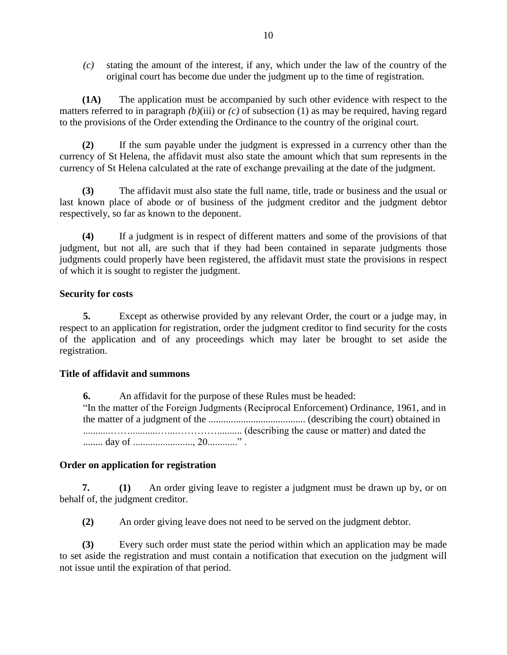*(c)* stating the amount of the interest, if any, which under the law of the country of the original court has become due under the judgment up to the time of registration.

**(1A)** The application must be accompanied by such other evidence with respect to the matters referred to in paragraph *(b)*(iii) or *(c)* of subsection (1) as may be required, having regard to the provisions of the Order extending the Ordinance to the country of the original court.

**(2)** If the sum payable under the judgment is expressed in a currency other than the currency of St Helena, the affidavit must also state the amount which that sum represents in the currency of St Helena calculated at the rate of exchange prevailing at the date of the judgment.

**(3)** The affidavit must also state the full name, title, trade or business and the usual or last known place of abode or of business of the judgment creditor and the judgment debtor respectively, so far as known to the deponent.

**(4)** If a judgment is in respect of different matters and some of the provisions of that judgment, but not all, are such that if they had been contained in separate judgments those judgments could properly have been registered, the affidavit must state the provisions in respect of which it is sought to register the judgment.

### **Security for costs**

**5.** Except as otherwise provided by any relevant Order, the court or a judge may, in respect to an application for registration, order the judgment creditor to find security for the costs of the application and of any proceedings which may later be brought to set aside the registration.

### **Title of affidavit and summons**

**6.** An affidavit for the purpose of these Rules must be headed: "In the matter of the Foreign Judgments (Reciprocal Enforcement) Ordinance, 1961, and in the matter of a judgment of the ....................................... (describing the court) obtained in ...........……...........…....………….......... (describing the cause or matter) and dated the ........ day of ........................, 20............" .

### **Order on application for registration**

**7. (1)** An order giving leave to register a judgment must be drawn up by, or on behalf of, the judgment creditor.

**(2)** An order giving leave does not need to be served on the judgment debtor.

**(3)** Every such order must state the period within which an application may be made to set aside the registration and must contain a notification that execution on the judgment will not issue until the expiration of that period.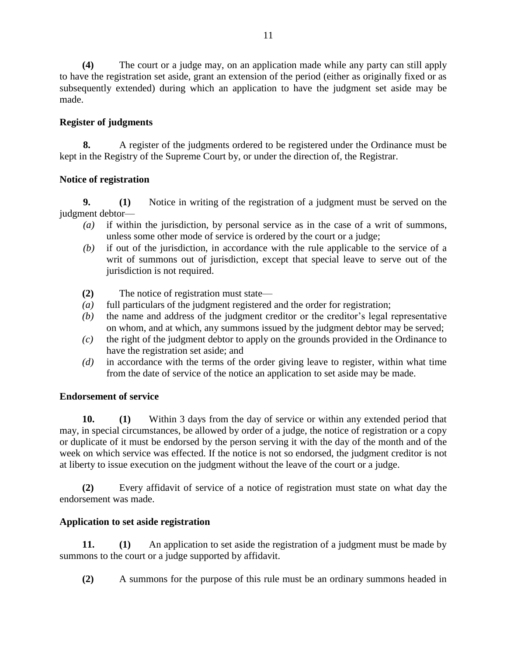**(4)** The court or a judge may, on an application made while any party can still apply to have the registration set aside, grant an extension of the period (either as originally fixed or as subsequently extended) during which an application to have the judgment set aside may be made.

### **Register of judgments**

**8.** A register of the judgments ordered to be registered under the Ordinance must be kept in the Registry of the Supreme Court by, or under the direction of, the Registrar.

### **Notice of registration**

**9. (1)** Notice in writing of the registration of a judgment must be served on the judgment debtor—

- *(a)* if within the jurisdiction, by personal service as in the case of a writ of summons, unless some other mode of service is ordered by the court or a judge;
- *(b)* if out of the jurisdiction, in accordance with the rule applicable to the service of a writ of summons out of jurisdiction, except that special leave to serve out of the jurisdiction is not required.
- **(2)** The notice of registration must state—
- *(a)* full particulars of the judgment registered and the order for registration;
- *(b)* the name and address of the judgment creditor or the creditor's legal representative on whom, and at which, any summons issued by the judgment debtor may be served;
- *(c)* the right of the judgment debtor to apply on the grounds provided in the Ordinance to have the registration set aside; and
- *(d)* in accordance with the terms of the order giving leave to register, within what time from the date of service of the notice an application to set aside may be made.

## **Endorsement of service**

**10. (1)** Within 3 days from the day of service or within any extended period that may, in special circumstances, be allowed by order of a judge, the notice of registration or a copy or duplicate of it must be endorsed by the person serving it with the day of the month and of the week on which service was effected. If the notice is not so endorsed, the judgment creditor is not at liberty to issue execution on the judgment without the leave of the court or a judge.

**(2)** Every affidavit of service of a notice of registration must state on what day the endorsement was made.

## **Application to set aside registration**

**11. (1)** An application to set aside the registration of a judgment must be made by summons to the court or a judge supported by affidavit.

**(2)** A summons for the purpose of this rule must be an ordinary summons headed in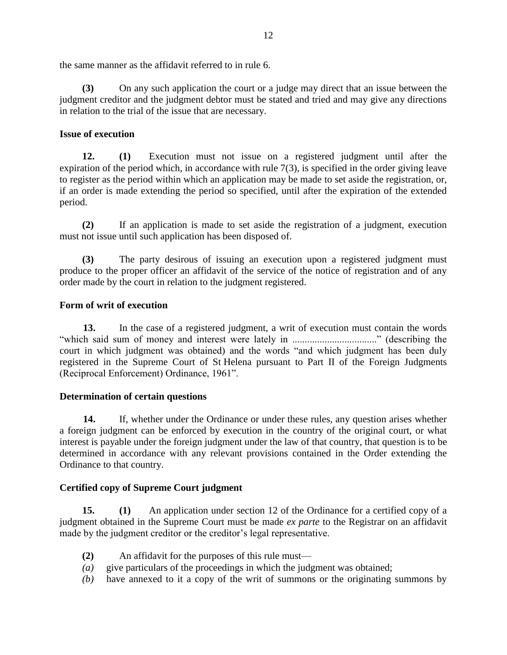the same manner as the affidavit referred to in rule 6.

**(3)** On any such application the court or a judge may direct that an issue between the judgment creditor and the judgment debtor must be stated and tried and may give any directions in relation to the trial of the issue that are necessary.

### **Issue of execution**

**12. (1)** Execution must not issue on a registered judgment until after the expiration of the period which, in accordance with rule 7(3), is specified in the order giving leave to register as the period within which an application may be made to set aside the registration, or, if an order is made extending the period so specified, until after the expiration of the extended period.

**(2)** If an application is made to set aside the registration of a judgment, execution must not issue until such application has been disposed of.

**(3)** The party desirous of issuing an execution upon a registered judgment must produce to the proper officer an affidavit of the service of the notice of registration and of any order made by the court in relation to the judgment registered.

### **Form of writ of execution**

**13.** In the case of a registered judgment, a writ of execution must contain the words "which said sum of money and interest were lately in .................................." (describing the court in which judgment was obtained) and the words "and which judgment has been duly registered in the Supreme Court of St Helena pursuant to Part II of the Foreign Judgments (Reciprocal Enforcement) Ordinance, 1961".

#### **Determination of certain questions**

**14.** If, whether under the Ordinance or under these rules, any question arises whether a foreign judgment can be enforced by execution in the country of the original court, or what interest is payable under the foreign judgment under the law of that country, that question is to be determined in accordance with any relevant provisions contained in the Order extending the Ordinance to that country.

### **Certified copy of Supreme Court judgment**

**15. (1)** An application under section 12 of the Ordinance for a certified copy of a judgment obtained in the Supreme Court must be made *ex parte* to the Registrar on an affidavit made by the judgment creditor or the creditor's legal representative.

- **(2)** An affidavit for the purposes of this rule must—
- *(a)* give particulars of the proceedings in which the judgment was obtained;
- *(b)* have annexed to it a copy of the writ of summons or the originating summons by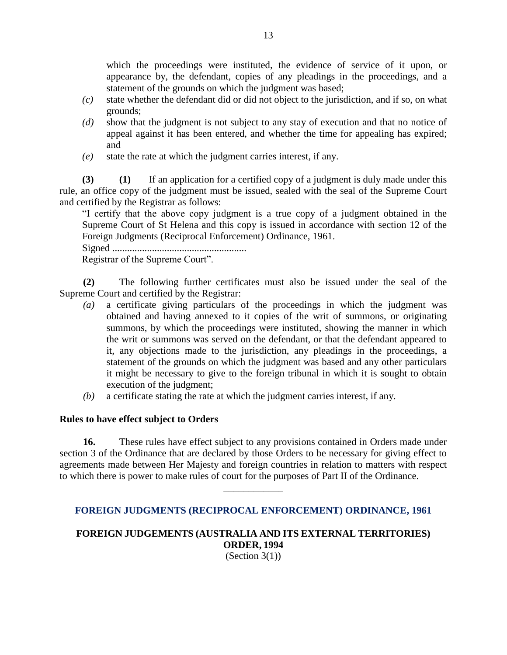which the proceedings were instituted, the evidence of service of it upon, or appearance by, the defendant, copies of any pleadings in the proceedings, and a statement of the grounds on which the judgment was based;

- *(c)* state whether the defendant did or did not object to the jurisdiction, and if so, on what grounds;
- *(d)* show that the judgment is not subject to any stay of execution and that no notice of appeal against it has been entered, and whether the time for appealing has expired; and
- *(e)* state the rate at which the judgment carries interest, if any.

**(3) (1)** If an application for a certified copy of a judgment is duly made under this rule, an office copy of the judgment must be issued, sealed with the seal of the Supreme Court and certified by the Registrar as follows:

"I certify that the above copy judgment is a true copy of a judgment obtained in the Supreme Court of St Helena and this copy is issued in accordance with section 12 of the Foreign Judgments (Reciprocal Enforcement) Ordinance, 1961.

Signed ......................................................

Registrar of the Supreme Court".

**(2)** The following further certificates must also be issued under the seal of the Supreme Court and certified by the Registrar:

- *(a)* a certificate giving particulars of the proceedings in which the judgment was obtained and having annexed to it copies of the writ of summons, or originating summons, by which the proceedings were instituted, showing the manner in which the writ or summons was served on the defendant, or that the defendant appeared to it, any objections made to the jurisdiction, any pleadings in the proceedings, a statement of the grounds on which the judgment was based and any other particulars it might be necessary to give to the foreign tribunal in which it is sought to obtain execution of the judgment;
- *(b)* a certificate stating the rate at which the judgment carries interest, if any.

#### **Rules to have effect subject to Orders**

**16.** These rules have effect subject to any provisions contained in Orders made under section 3 of the Ordinance that are declared by those Orders to be necessary for giving effect to agreements made between Her Majesty and foreign countries in relation to matters with respect to which there is power to make rules of court for the purposes of Part II of the Ordinance.

### **FOREIGN JUDGMENTS (RECIPROCAL ENFORCEMENT) ORDINANCE, 1961**

\_\_\_\_\_\_\_\_\_\_\_\_

# **FOREIGN JUDGEMENTS (AUSTRALIA AND ITS EXTERNAL TERRITORIES) ORDER, 1994**

(Section  $3(1)$ )